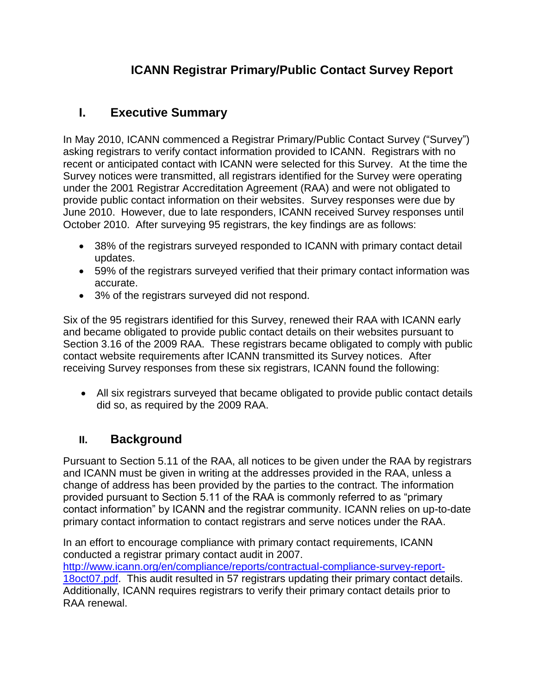# **ICANN Registrar Primary/Public Contact Survey Report**

# **I. Executive Summary**

In May 2010, ICANN commenced a Registrar Primary/Public Contact Survey ("Survey") asking registrars to verify contact information provided to ICANN. Registrars with no recent or anticipated contact with ICANN were selected for this Survey. At the time the Survey notices were transmitted, all registrars identified for the Survey were operating under the 2001 Registrar Accreditation Agreement (RAA) and were not obligated to provide public contact information on their websites. Survey responses were due by June 2010. However, due to late responders, ICANN received Survey responses until October 2010. After surveying 95 registrars, the key findings are as follows:

- 38% of the registrars surveyed responded to ICANN with primary contact detail updates.
- 59% of the registrars surveyed verified that their primary contact information was accurate.
- 3% of the registrars surveyed did not respond.

Six of the 95 registrars identified for this Survey, renewed their RAA with ICANN early and became obligated to provide public contact details on their websites pursuant to Section 3.16 of the 2009 RAA. These registrars became obligated to comply with public contact website requirements after ICANN transmitted its Survey notices. After receiving Survey responses from these six registrars, ICANN found the following:

 All six registrars surveyed that became obligated to provide public contact details did so, as required by the 2009 RAA.

### **II. Background**

Pursuant to Section 5.11 of the RAA, all notices to be given under the RAA by registrars and ICANN must be given in writing at the addresses provided in the RAA, unless a change of address has been provided by the parties to the contract. The information provided pursuant to Section 5.11 of the RAA is commonly referred to as "primary contact information" by ICANN and the registrar community. ICANN relies on up-to-date primary contact information to contact registrars and serve notices under the RAA.

In an effort to encourage compliance with primary contact requirements, ICANN conducted a registrar primary contact audit in 2007. [http://www.icann.org/en/compliance/reports/contractual-compliance-survey-report-](http://www.icann.org/en/compliance/reports/contractual-compliance-audit-report-18oct07.pdf)[18oct07.pdf.](http://www.icann.org/en/compliance/reports/contractual-compliance-audit-report-18oct07.pdf) This audit resulted in 57 registrars updating their primary contact details. Additionally, ICANN requires registrars to verify their primary contact details prior to RAA renewal.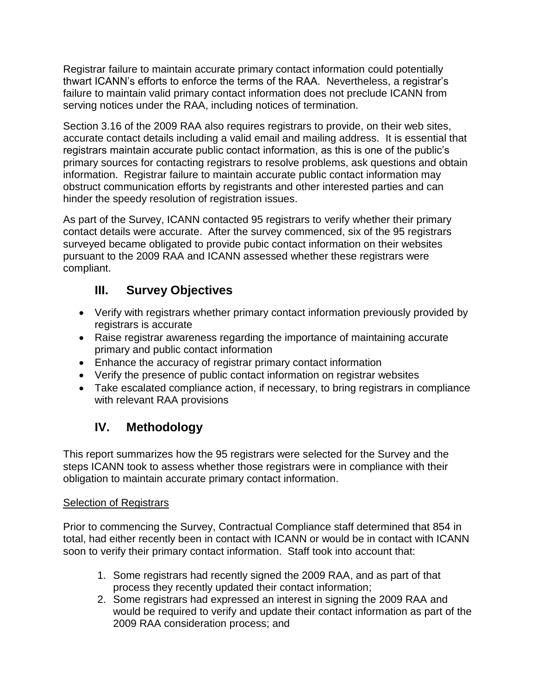Registrar failure to maintain accurate primary contact information could potentially thwart ICANN's efforts to enforce the terms of the RAA. Nevertheless, a registrar's failure to maintain valid primary contact information does not preclude ICANN from serving notices under the RAA, including notices of termination.

Section 3.16 of the 2009 RAA also requires registrars to provide, on their web sites, accurate contact details including a valid email and mailing address. It is essential that registrars maintain accurate public contact information, as this is one of the public's primary sources for contacting registrars to resolve problems, ask questions and obtain information. Registrar failure to maintain accurate public contact information may obstruct communication efforts by registrants and other interested parties and can hinder the speedy resolution of registration issues.

As part of the Survey, ICANN contacted 95 registrars to verify whether their primary contact details were accurate. After the survey commenced, six of the 95 registrars surveyed became obligated to provide pubic contact information on their websites pursuant to the 2009 RAA and ICANN assessed whether these registrars were compliant.

## **III. Survey Objectives**

- Verify with registrars whether primary contact information previously provided by registrars is accurate
- Raise registrar awareness regarding the importance of maintaining accurate primary and public contact information
- Enhance the accuracy of registrar primary contact information
- Verify the presence of public contact information on registrar websites
- Take escalated compliance action, if necessary, to bring registrars in compliance with relevant RAA provisions

# **IV. Methodology**

This report summarizes how the 95 registrars were selected for the Survey and the steps ICANN took to assess whether those registrars were in compliance with their obligation to maintain accurate primary contact information.

### Selection of Registrars

Prior to commencing the Survey, Contractual Compliance staff determined that 854 in total, had either recently been in contact with ICANN or would be in contact with ICANN soon to verify their primary contact information. Staff took into account that:

- 1. Some registrars had recently signed the 2009 RAA, and as part of that process they recently updated their contact information;
- 2. Some registrars had expressed an interest in signing the 2009 RAA and would be required to verify and update their contact information as part of the 2009 RAA consideration process; and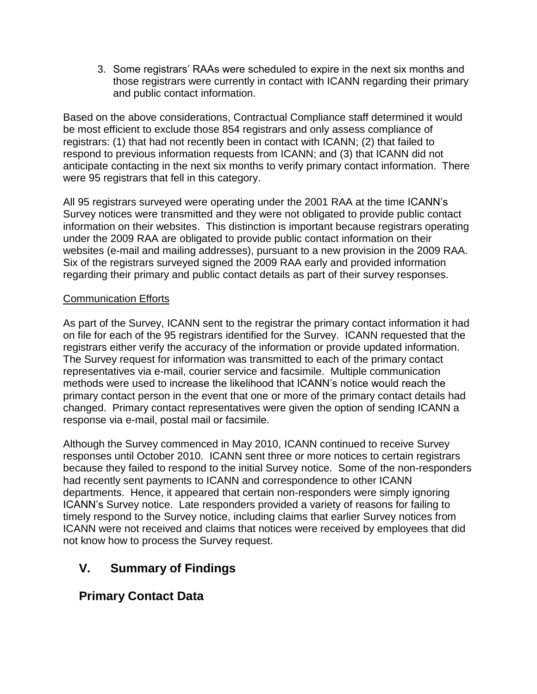3. Some registrars' RAAs were scheduled to expire in the next six months and those registrars were currently in contact with ICANN regarding their primary and public contact information.

Based on the above considerations, Contractual Compliance staff determined it would be most efficient to exclude those 854 registrars and only assess compliance of registrars: (1) that had not recently been in contact with ICANN; (2) that failed to respond to previous information requests from ICANN; and (3) that ICANN did not anticipate contacting in the next six months to verify primary contact information. There were 95 registrars that fell in this category.

All 95 registrars surveyed were operating under the 2001 RAA at the time ICANN's Survey notices were transmitted and they were not obligated to provide public contact information on their websites. This distinction is important because registrars operating under the 2009 RAA are obligated to provide public contact information on their websites (e-mail and mailing addresses), pursuant to a new provision in the 2009 RAA. Six of the registrars surveyed signed the 2009 RAA early and provided information regarding their primary and public contact details as part of their survey responses.

#### Communication Efforts

As part of the Survey, ICANN sent to the registrar the primary contact information it had on file for each of the 95 registrars identified for the Survey. ICANN requested that the registrars either verify the accuracy of the information or provide updated information. The Survey request for information was transmitted to each of the primary contact representatives via e-mail, courier service and facsimile. Multiple communication methods were used to increase the likelihood that ICANN's notice would reach the primary contact person in the event that one or more of the primary contact details had changed. Primary contact representatives were given the option of sending ICANN a response via e-mail, postal mail or facsimile.

Although the Survey commenced in May 2010, ICANN continued to receive Survey responses until October 2010. ICANN sent three or more notices to certain registrars because they failed to respond to the initial Survey notice. Some of the non-responders had recently sent payments to ICANN and correspondence to other ICANN departments. Hence, it appeared that certain non-responders were simply ignoring ICANN's Survey notice. Late responders provided a variety of reasons for failing to timely respond to the Survey notice, including claims that earlier Survey notices from ICANN were not received and claims that notices were received by employees that did not know how to process the Survey request.

### **V. Summary of Findings**

### **Primary Contact Data**